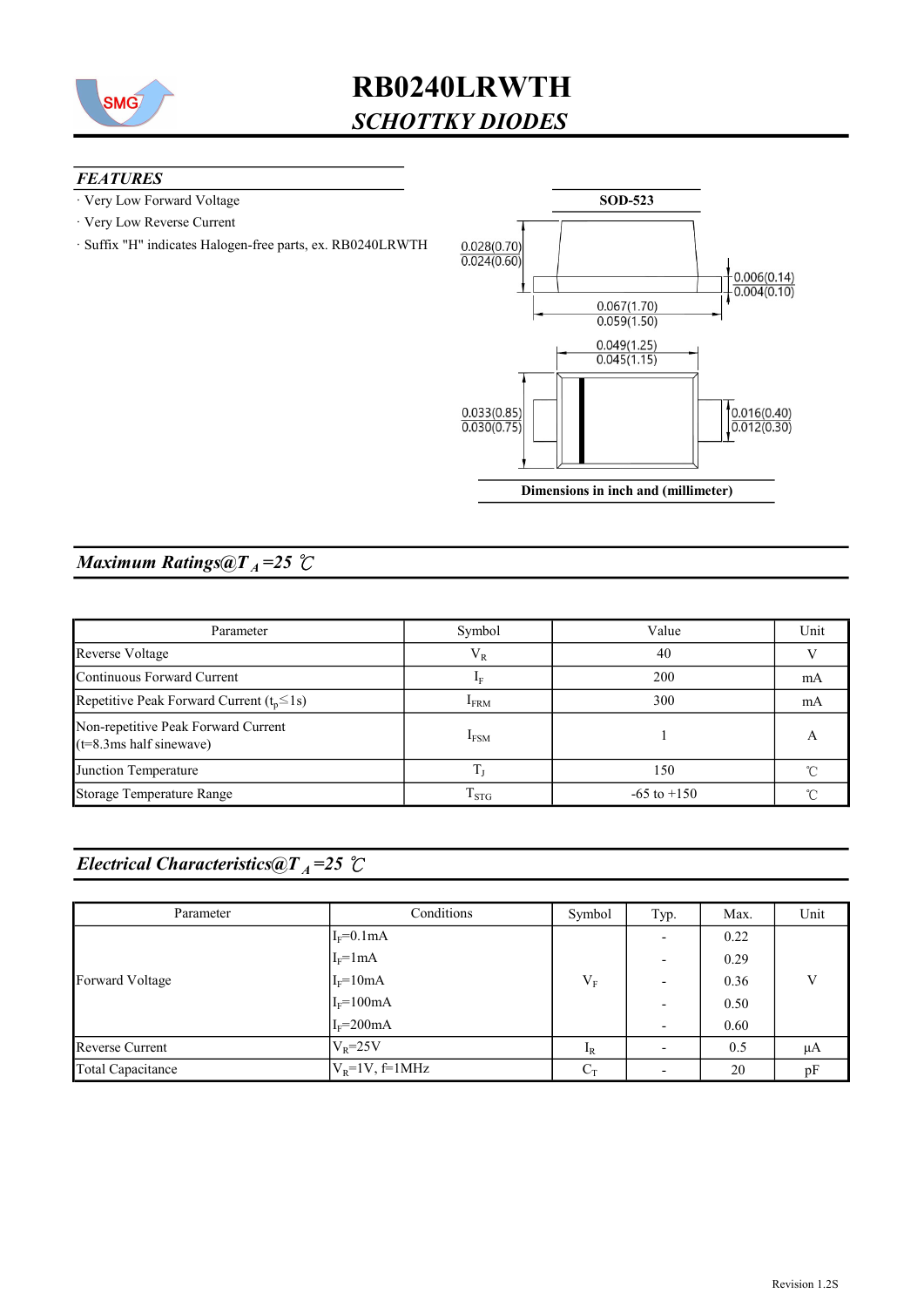

#### **FEATURES**

- · Very Low Forward Voltage
- · Very Low Reverse Current
- · Suffix "H" indicates Halogen-free parts, ex. RB0240LRWTH



### Maximum Ratings@ $T_A = 25$  °C

| Parameter                                                                | Symbol           | Value           | Unit |
|--------------------------------------------------------------------------|------------------|-----------------|------|
| Reverse Voltage                                                          | $V_R$            | 40              |      |
| Continuous Forward Current                                               | 1 <sub>F</sub>   | 200             | mA   |
| Repetitive Peak Forward Current $(t_p \le 1s)$<br>300<br><b>IFRM</b>     |                  |                 | mA   |
| Non-repetitive Peak Forward Current<br>$(t=8.3 \text{ms half sinewave})$ | I <sub>FSM</sub> |                 |      |
| Junction Temperature                                                     |                  | 150             |      |
| Storage Temperature Range                                                | $T_{STG}$        | $-65$ to $+150$ |      |

### Electrical Characteristics@T<sub>A</sub>=25  $\mathcal{C}$

| Parameter         | Conditions          | Symbol | Typ.                     | Max. | Unit |
|-------------------|---------------------|--------|--------------------------|------|------|
|                   | $I_F=0.1mA$         |        |                          | 0.22 |      |
| Forward Voltage   | $I_F=1mA$           |        | $\overline{\phantom{0}}$ | 0.29 |      |
|                   | $I_F = 10mA$        | $V_F$  |                          | 0.36 | V    |
|                   | $I_F = 100mA$       |        | $\overline{\phantom{0}}$ | 0.50 |      |
|                   | $I_F = 200mA$       |        | $\overline{\phantom{0}}$ | 0.60 |      |
| Reverse Current   | $V_R = 25V$         | $I_R$  |                          | 0.5  | μA   |
| Total Capacitance | $V_R = 1V$ , f=1MHz | $C_T$  |                          | 20   | pF   |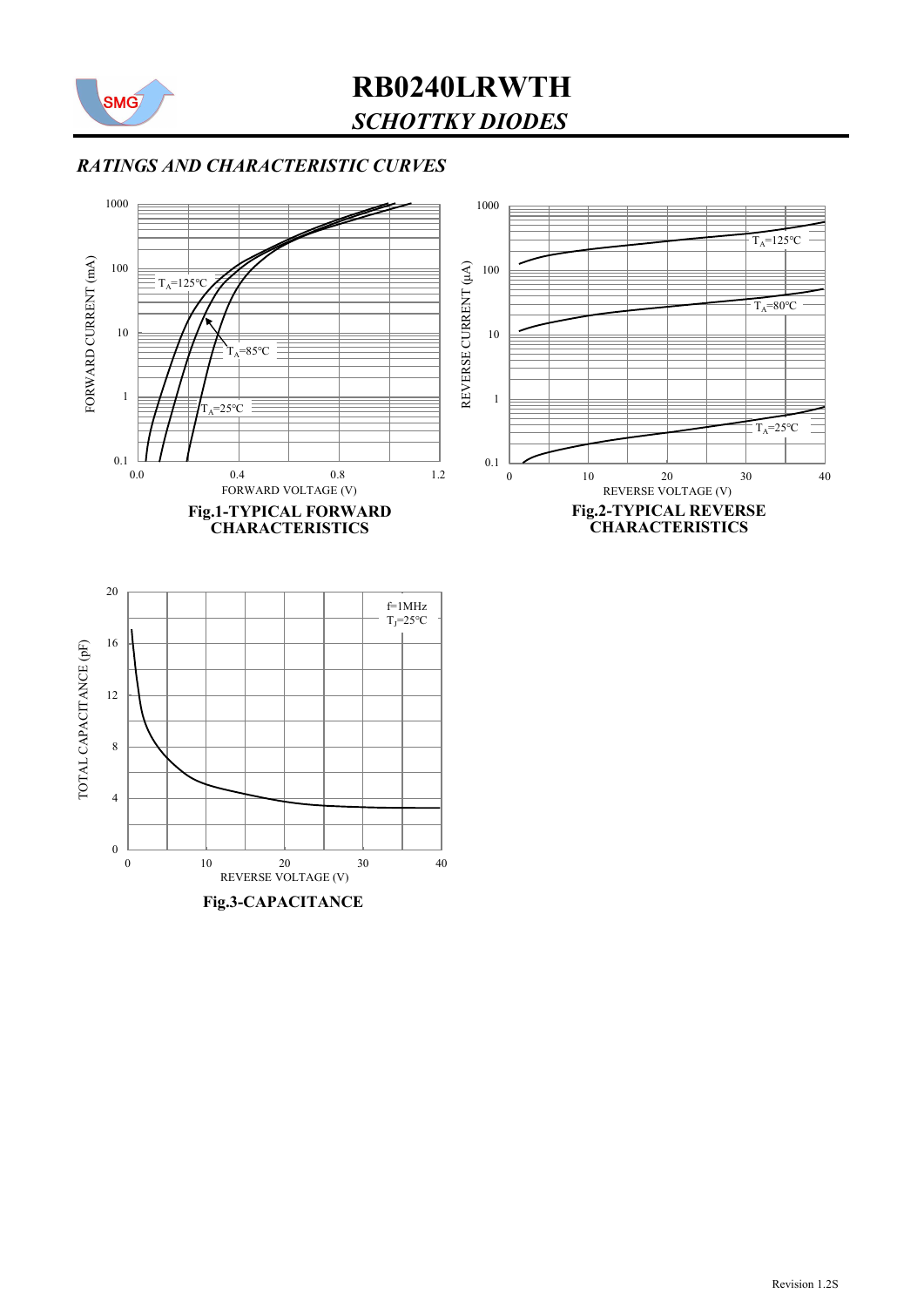

### RATINGS AND CHARACTERISTIC CURVES

0 0 10 20 30<br>REVERSE VOLTAGE (V)

Fig.3-CAPACITANCE

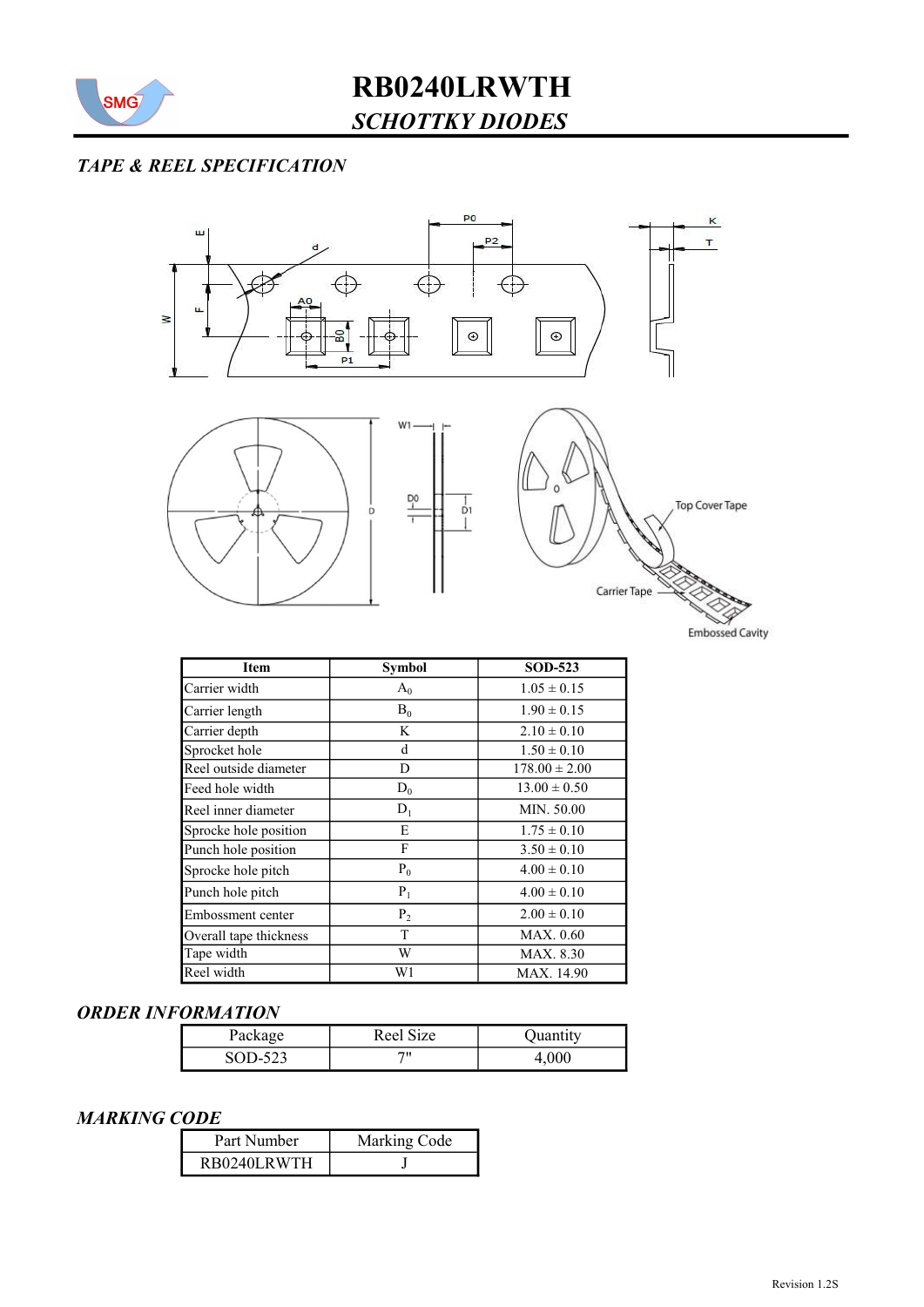

### TAPE & REEL SPECIFICATION



| <b>Item</b>            | <b>Symbol</b> | <b>SOD-523</b>    |
|------------------------|---------------|-------------------|
| Carrier width          | $A_0$         | $1.05 \pm 0.15$   |
| Carrier length         | $B_0$         | $1.90 \pm 0.15$   |
| Carrier depth          | K             | $2.10 \pm 0.10$   |
| Sprocket hole          | d             | $1.50 \pm 0.10$   |
| Reel outside diameter  | D             | $178.00 \pm 2.00$ |
| Feed hole width        | $D_0$         | $13.00 \pm 0.50$  |
| Reel inner diameter    | $D_1$         | MIN. 50.00        |
| Sprocke hole position  | E             | $1.75 \pm 0.10$   |
| Punch hole position    | F             | $3.50 \pm 0.10$   |
| Sprocke hole pitch     | $P_0$         | $4.00 \pm 0.10$   |
| Punch hole pitch       | $P_1$         | $4.00 \pm 0.10$   |
| Embossment center      | $P_2$         | $2.00 \pm 0.10$   |
| Overall tape thickness | T             | MAX. 0.60         |
| Tape width             | W             | MAX. 8.30         |
| Reel width             | W1            | MAX. 14.90        |

#### ORDER INFORMATION

| Package | Reel Size | Quantity |
|---------|-----------|----------|
| SOD-523 |           | 4.000    |

#### MARKING CODE

| Part Number | Marking Code |  |  |
|-------------|--------------|--|--|
| RB0240LRWTH |              |  |  |